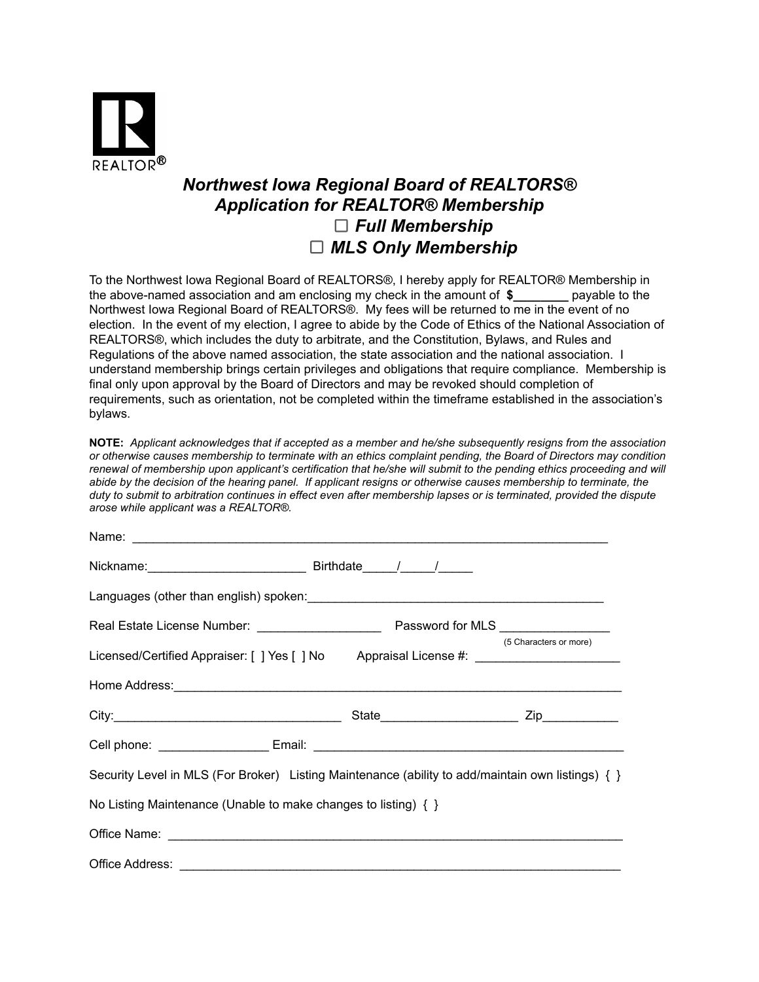

## *Northwest Iowa Regional Board of REALTORS® Application for REALTOR® Membership Full Membership MLS Only Membership*

To the Northwest Iowa Regional Board of REALTORS®, I hereby apply for REALTOR® Membership in the above-named association and am enclosing my check in the amount of **\$\_\_\_\_\_\_\_\_** payable to the Northwest Iowa Regional Board of REALTORS®. My fees will be returned to me in the event of no election. In the event of my election, I agree to abide by the Code of Ethics of the National Association of REALTORS®, which includes the duty to arbitrate, and the Constitution, Bylaws, and Rules and Regulations of the above named association, the state association and the national association. I understand membership brings certain privileges and obligations that require compliance. Membership is final only upon approval by the Board of Directors and may be revoked should completion of requirements, such as orientation, not be completed within the timeframe established in the association's bylaws.

**NOTE:** *Applicant acknowledges that if accepted as a member and he/she subsequently resigns from the association or otherwise causes membership to terminate with an ethics complaint pending, the Board of Directors may condition renewal of membership upon applicant's certification that he/she will submit to the pending ethics proceeding and will abide by the decision of the hearing panel. If applicant resigns or otherwise causes membership to terminate, the duty to submit to arbitration continues in effect even after membership lapses or is terminated, provided the dispute arose while applicant was a REALTOR®.*

| Licensed/Certified Appraiser: [ ] Yes [ ] No Appraisal License #: _______________                 | (5 Characters or more) |
|---------------------------------------------------------------------------------------------------|------------------------|
|                                                                                                   |                        |
|                                                                                                   |                        |
|                                                                                                   |                        |
| Security Level in MLS (For Broker) Listing Maintenance (ability to add/maintain own listings) { } |                        |
| No Listing Maintenance (Unable to make changes to listing) $\{ \}$                                |                        |
|                                                                                                   |                        |
|                                                                                                   |                        |